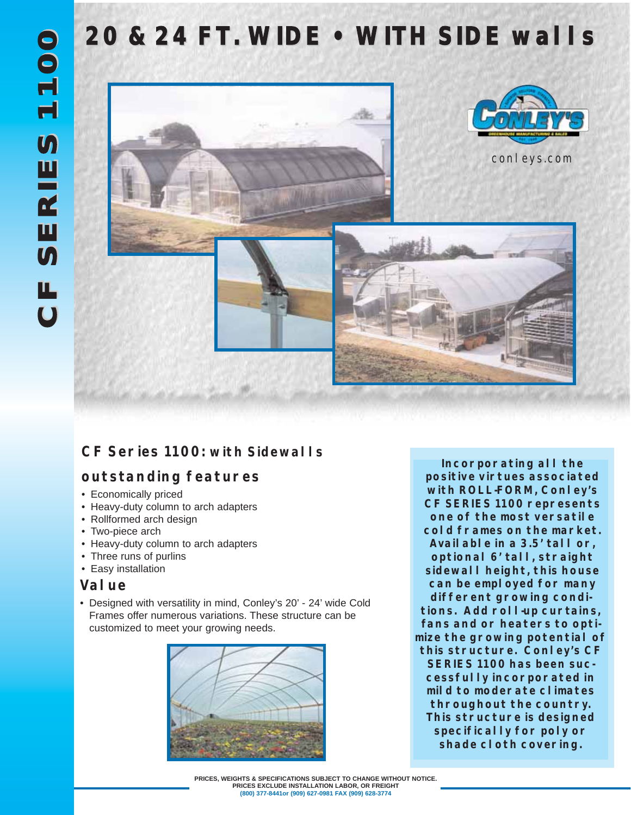## **20 & 24 FT. WIDE • WITH SIDE walls**



## **CF Series 1100: with Sidewalls**

## **outstanding features**

- Economically priced
- Heavy-duty column to arch adapters
- Rollformed arch design
- Two-piece arch
- Heavy-duty column to arch adapters
- Three runs of purlins
- Easy installation

#### **Value**

• Designed with versatility in mind, Conley's 20' - 24' wide Cold Frames offer numerous variations. These structure can be customized to meet your growing needs.



**Incorporating all the positive virtues associated with ROLL-FORM, Conley's CF SERIES 1100 represents one of the most versatile cold frames on the market. Available in a 3.5' tall or, optional 6' tall, straight sidewall height, this house can be employed for many different growing conditions. Add roll-up curtains, fans and or heaters to optimize the growing potential of this structure. Conley's CF SERIES 1100 has been successfully incorporated in mild to moderate climates throughout the country. This structure is designed specifically for poly or shade cloth covering.**